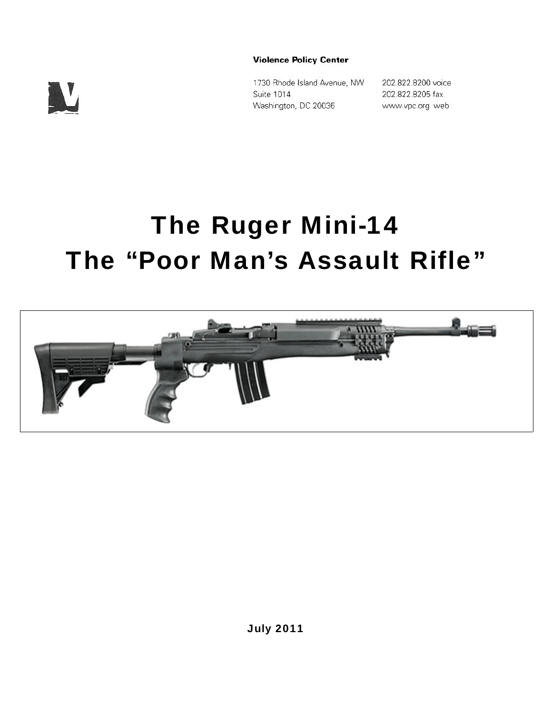

**Violence Policy Center** 

1730 Rhode Island Avenue, NW Suite 1014 Washington, DC 20036

202.822.8200 voice 202.822.8205 fax www.vpc.org web

# The Ruger Mini-14 The "Poor Man's Assault Rifle"

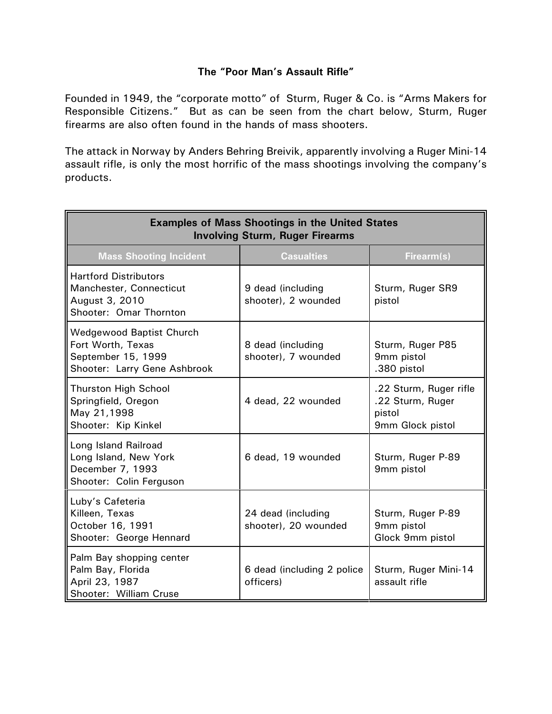# **The "Poor Man's Assault Rifle"**

Founded in 1949, the "corporate motto" of Sturm, Ruger & Co. is "Arms Makers for Responsible Citizens." But as can be seen from the chart below, Sturm, Ruger firearms are also often found in the hands of mass shooters.

The attack in Norway by Anders Behring Breivik, apparently involving a Ruger Mini-14 assault rifle, is only the most horrific of the mass shootings involving the company's products.

| <b>Examples of Mass Shootings in the United States</b><br><b>Involving Sturm, Ruger Firearms</b>           |                                            |                                                                          |  |
|------------------------------------------------------------------------------------------------------------|--------------------------------------------|--------------------------------------------------------------------------|--|
| <b>Mass Shooting Incident</b>                                                                              | <b>Casualties</b>                          | Firearm(s)                                                               |  |
| <b>Hartford Distributors</b><br>Manchester, Connecticut<br>August 3, 2010<br>Shooter: Omar Thornton        | 9 dead (including<br>shooter), 2 wounded   | Sturm, Ruger SR9<br>pistol                                               |  |
| <b>Wedgewood Baptist Church</b><br>Fort Worth, Texas<br>September 15, 1999<br>Shooter: Larry Gene Ashbrook | 8 dead (including<br>shooter), 7 wounded   | Sturm, Ruger P85<br>9mm pistol<br>.380 pistol                            |  |
| <b>Thurston High School</b><br>Springfield, Oregon<br>May 21,1998<br>Shooter: Kip Kinkel                   | 4 dead, 22 wounded                         | .22 Sturm, Ruger rifle<br>.22 Sturm, Ruger<br>pistol<br>9mm Glock pistol |  |
| Long Island Railroad<br>Long Island, New York<br>December 7, 1993<br>Shooter: Colin Ferguson               | 6 dead, 19 wounded                         | Sturm, Ruger P-89<br>9mm pistol                                          |  |
| Luby's Cafeteria<br>Killeen, Texas<br>October 16, 1991<br>Shooter: George Hennard                          | 24 dead (including<br>shooter), 20 wounded | Sturm, Ruger P-89<br>9mm pistol<br>Glock 9mm pistol                      |  |
| Palm Bay shopping center<br>Palm Bay, Florida<br>April 23, 1987<br>Shooter: William Cruse                  | 6 dead (including 2 police<br>officers)    | Sturm, Ruger Mini-14<br>assault rifle                                    |  |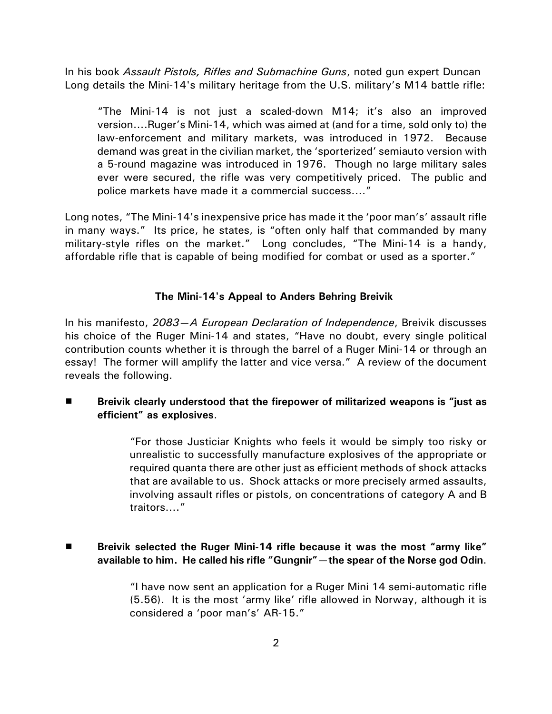In his book *Assault Pistols, Rifles and Submachine Guns*, noted gun expert Duncan Long details the Mini-14's military heritage from the U.S. military's M14 battle rifle:

"The Mini-14 is not just a scaled-down M14; it's also an improved version....Ruger's Mini-14, which was aimed at (and for a time, sold only to) the law-enforcement and military markets, was introduced in 1972. Because demand was great in the civilian market, the 'sporterized' semiauto version with a 5-round magazine was introduced in 1976. Though no large military sales ever were secured, the rifle was very competitively priced. The public and police markets have made it a commercial success...."

Long notes, "The Mini-14's inexpensive price has made it the 'poor man's' assault rifle in many ways." Its price, he states, is "often only half that commanded by many military-style rifles on the market." Long concludes, "The Mini-14 is a handy, affordable rifle that is capable of being modified for combat or used as a sporter."

#### **The Mini-14's Appeal to Anders Behring Breivik**

In his manifesto, *2083—A European Declaration of Independence*, Breivik discusses his choice of the Ruger Mini-14 and states, "Have no doubt, every single political contribution counts whether it is through the barrel of a Ruger Mini-14 or through an essay! The former will amplify the latter and vice versa." A review of the document reveals the following.

**EXED EXALGE 1 Breivik clearly understood that the firepower of militarized weapons is "just as efficient" as explosives**.

> "For those Justiciar Knights who feels it would be simply too risky or unrealistic to successfully manufacture explosives of the appropriate or required quanta there are other just as efficient methods of shock attacks that are available to us. Shock attacks or more precisely armed assaults, involving assault rifles or pistols, on concentrations of category A and B traitors…."

# # **Breivik selected the Ruger Mini-14 rifle because it was the most "army like" available to him. He called his rifle "Gungnir"—the spear of the Norse god Odin**.

"I have now sent an application for a Ruger Mini 14 semi-automatic rifle (5.56). It is the most 'army like' rifle allowed in Norway, although it is considered a 'poor man's' AR-15."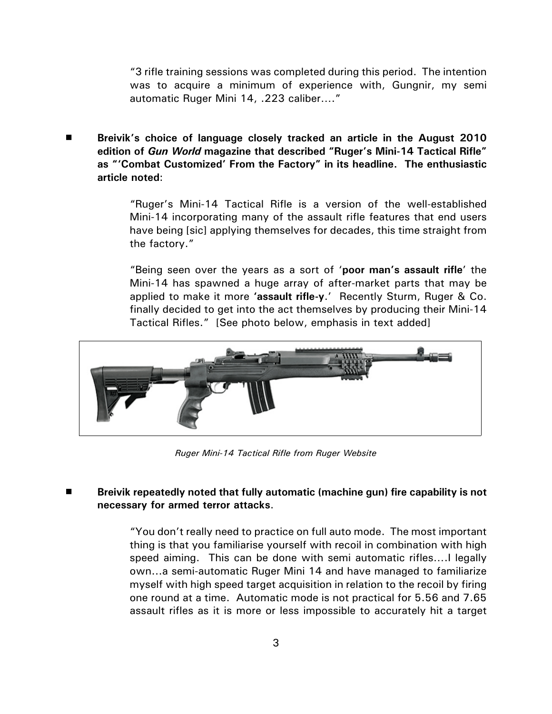"3 rifle training sessions was completed during this period. The intention was to acquire a minimum of experience with, Gungnir, my semi automatic Ruger Mini 14, .223 caliber…."

# **Breivik's choice of language closely tracked an article in the August 2010 edition of** *Gun World* **magazine that described "Ruger's Mini-14 Tactical Rifle" as "'Combat Customized' From the Factory" in its headline. The enthusiastic article noted**:

> "Ruger's Mini-14 Tactical Rifle is a version of the well-established Mini-14 incorporating many of the assault rifle features that end users have being [sic] applying themselves for decades, this time straight from the factory."

> "Being seen over the years as a sort of '**poor man's assault rifle**' the Mini-14 has spawned a huge array of after-market parts that may be applied to make it more **'assault rifle-y**.' Recently Sturm, Ruger & Co. finally decided to get into the act themselves by producing their Mini-14 Tactical Rifles." [See photo below, emphasis in text added]



*Ruger Mini-14 Tactical Rifle from Ruger Website*

# # **Breivik repeatedly noted that fully automatic (machine gun) fire capability is not necessary for armed terror attacks**.

"You don't really need to practice on full auto mode. The most important thing is that you familiarise yourself with recoil in combination with high speed aiming. This can be done with semi automatic rifles….I legally own...a semi-automatic Ruger Mini 14 and have managed to familiarize myself with high speed target acquisition in relation to the recoil by firing one round at a time. Automatic mode is not practical for 5.56 and 7.65 assault rifles as it is more or less impossible to accurately hit a target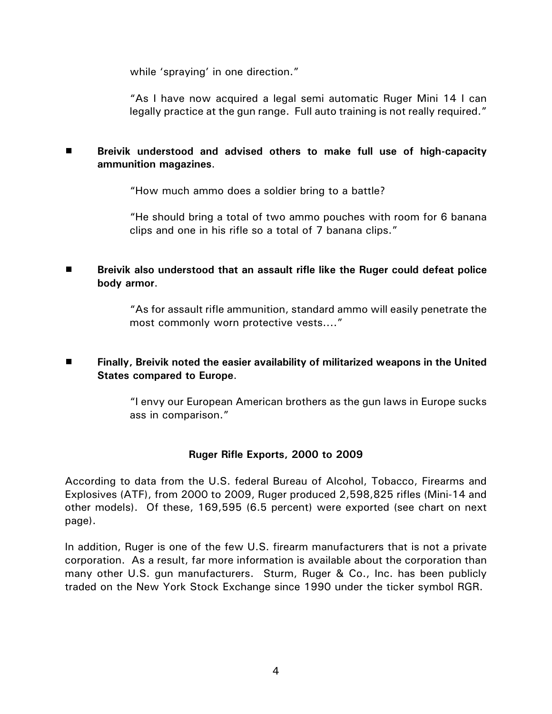while 'spraying' in one direction."

"As I have now acquired a legal semi automatic Ruger Mini 14 I can legally practice at the gun range. Full auto training is not really required."

# **Breivik understood and advised others to make full use of high-capacity ammunition magazines**.

"How much ammo does a soldier bring to a battle?

"He should bring a total of two ammo pouches with room for 6 banana clips and one in his rifle so a total of 7 banana clips."

■ **Breivik also understood that an assault rifle like the Ruger could defeat police body armor**.

> "As for assault rifle ammunition, standard ammo will easily penetrate the most commonly worn protective vests...."

# **Finally, Breivik noted the easier availability of militarized weapons in the United States compared to Europe**.

> "I envy our European American brothers as the gun laws in Europe sucks ass in comparison."

# **Ruger Rifle Exports, 2000 to 2009**

According to data from the U.S. federal Bureau of Alcohol, Tobacco, Firearms and Explosives (ATF), from 2000 to 2009, Ruger produced 2,598,825 rifles (Mini-14 and other models). Of these, 169,595 (6.5 percent) were exported (see chart on next page).

In addition, Ruger is one of the few U.S. firearm manufacturers that is not a private corporation. As a result, far more information is available about the corporation than many other U.S. gun manufacturers. Sturm, Ruger & Co., Inc. has been publicly traded on the New York Stock Exchange since 1990 under the ticker symbol RGR.